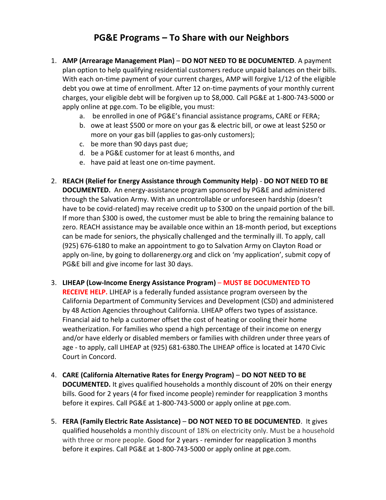## **PG&E Programs – To Share with our Neighbors**

- 1. **AMP (Arrearage Management Plan) DO NOT NEED TO BE DOCUMENTED**. A payment plan option to help qualifying residential customers reduce unpaid balances on their bills. With each on-time payment of your current charges, AMP will forgive 1/12 of the eligible debt you owe at time of enrollment. After 12 on-time payments of your monthly current charges, your eligible debt will be forgiven up to \$8,000. Call PG&E at 1-800-743-5000 or apply online at pge.com. To be eligible, you must:
	- a. be enrolled in one of PG&E's financial assistance programs, CARE or FERA;
	- b. owe at least \$500 or more on your gas & electric bill, or owe at least \$250 or more on your gas bill (applies to gas-only customers);
	- c. be more than 90 days past due;
	- d. be a PG&E customer for at least 6 months, and
	- e. have paid at least one on-time payment.
- 2. **REACH (Relief for Energy Assistance through Community Help) DO NOT NEED TO BE DOCUMENTED.** An energy-assistance program sponsored by PG&E and administered through the Salvation Army. With an uncontrollable or unforeseen hardship (doesn't have to be covid-related) may receive credit up to \$300 on the unpaid portion of the bill. If more than \$300 is owed, the customer must be able to bring the remaining balance to zero. REACH assistance may be available once within an 18-month period, but exceptions can be made for seniors, the physically challenged and the terminally ill. To apply, call (925) 676-6180 to make an appointment to go to Salvation Army on Clayton Road or apply on-line, by going to dollarenergy.org and click on 'my application', submit copy of PG&E bill and give income for last 30 days.
- 3. **LIHEAP (Low-Income Energy Assistance Program) MUST BE DOCUMENTED TO RECEIVE HELP.** LIHEAP is a federally funded assistance program overseen by the California Department of Community Services and Development (CSD) and administered by 48 Action Agencies throughout California. LIHEAP offers two types of assistance. Financial aid to help a customer offset the cost of heating or cooling their home weatherization. For families who spend a high percentage of their income on energy and/or have elderly or disabled members or families with children under three years of age - to apply, call LIHEAP at (925) 681-6380.The LIHEAP office is located at 1470 Civic Court in Concord.
- 4. **CARE (California Alternative Rates for Energy Program) DO NOT NEED TO BE DOCUMENTED.** It gives qualified households a monthly discount of 20% on their energy bills. Good for 2 years (4 for fixed income people) reminder for reapplication 3 months before it expires. Call PG&E at 1-800-743-5000 or apply online at pge.com.
- 5. **FERA (Family Electric Rate Assistance) DO NOT NEED TO BE DOCUMENTED**. It gives qualified households a monthly discount of 18% on electricity only. Must be a household with three or more people. Good for 2 years - reminder for reapplication 3 months before it expires. Call PG&E at 1-800-743-5000 or apply online at pge.com.